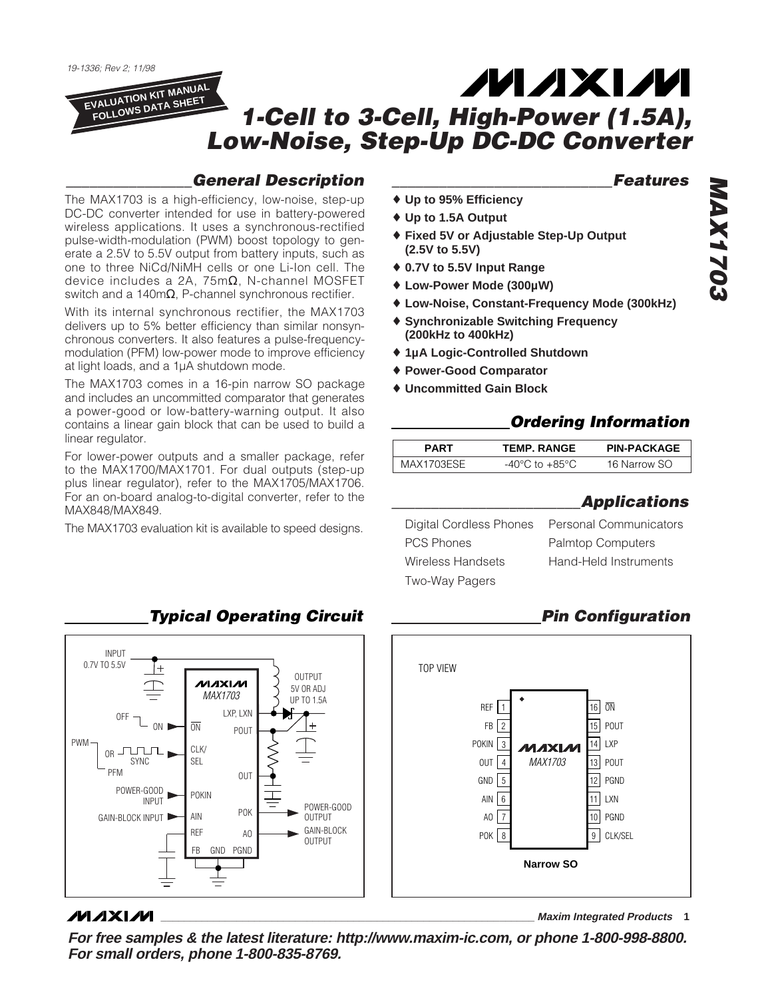19-1336; Rev 2; 11/98

linear regulator.

MAX848/MAX849.

## ZM ZIXIZM **EVALUATION KIT MANUAL FOLLOWS DATA SHEET 1-Cell to 3-Cell, High-Power (1.5A), Low-Noise, Step-Up DC-DC Converter**

# **\_\_\_\_\_\_\_\_\_\_\_\_\_\_\_\_General Description**

The MAX1703 is a high-efficiency, low-noise, step-up DC-DC converter intended for use in battery-powered wireless applications. It uses a synchronous-rectified pulse-width-modulation (PWM) boost topology to generate a 2.5V to 5.5V output from battery inputs, such as one to three NiCd/NiMH cells or one Li-Ion cell. The device includes a 2A, 75mΩ, N-channel MOSFET switch and a 140mΩ, P-channel synchronous rectifier. With its internal synchronous rectifier, the MAX1703 delivers up to 5% better efficiency than similar nonsynchronous converters. It also features a pulse-frequencymodulation (PFM) low-power mode to improve efficiency

The MAX1703 comes in a 16-pin narrow SO package and includes an uncommitted comparator that generates a power-good or low-battery-warning output. It also contains a linear gain block that can be used to build a

For lower-power outputs and a smaller package, refer to the MAX1700/MAX1701. For dual outputs (step-up plus linear regulator), refer to the MAX1705/MAX1706. For an on-board analog-to-digital converter, refer to the

The MAX1703 evaluation kit is available to speed designs.

at light loads, and a 1µA shutdown mode.

**\_\_\_\_\_\_\_\_\_\_\_\_\_\_\_\_\_\_\_\_\_\_\_\_\_\_\_\_Features**

- ♦ **Up to 95% Efficiency** ♦ **Up to 1.5A Output**
	- ♦ **Fixed 5V or Adjustable Step-Up Output (2.5V to 5.5V)**
	- ♦ **0.7V to 5.5V Input Range**
	- ♦ **Low-Power Mode (300µW)**
	- ♦ **Low-Noise, Constant-Frequency Mode (300kHz)**
	- ♦ **Synchronizable Switching Frequency (200kHz to 400kHz)**
	- ♦ **1µA Logic-Controlled Shutdown**
	- ♦ **Power-Good Comparator**
	- ♦ **Uncommitted Gain Block**

# **Ordering Information**

| PARI       | <b>TEMP. RANGE</b>                       | <b>PIN-PACKAGE</b> |  |
|------------|------------------------------------------|--------------------|--|
| MAX1703ESE | $-4()^{\circ}$ ( )<br>to $+85^{\circ}$ C | 16 Narrow SO       |  |

## **\_\_\_\_\_\_\_\_\_\_\_\_\_\_\_\_\_\_\_\_\_\_\_\_Applications**

Digital Cordless Phones Personal Communicators PCS Phones Palmtop Computers Wireless Handsets Hand-Held Instruments Two-Way Pagers

# **Pin Configuration**



**Typical Operating Circuit**

INPUT 0.7V TO 5.5V  $^{+}$ **OUTPUT MAXIM** 5V OR ADJ MAX1703 UP TO 1.5A  $OEF$   $\rightarrow$  LXP, LXN ON D  $\overline{ON}$ POUT PWM CLK/  $OR$  JULIL<sub>1</sub> SEL SYNC PFM OUT POWER-GOOD POKIN POWER-GOOD<br>OUTPUT POK GAIN-BLOCK INPUT AIN GAIN-BLOCK REF AO **OUTPUT** FB GND PGND

# **MAXIM**

**\_\_\_\_\_\_\_\_\_\_\_\_\_\_\_\_\_\_\_\_\_\_\_\_\_\_\_\_\_\_\_\_\_\_\_\_\_\_\_\_\_\_\_\_\_\_\_\_\_\_\_\_\_\_\_\_\_\_\_\_\_\_\_\_ Maxim Integrated Products 1**

**For free samples & the latest literature: http://www.maxim-ic.com, or phone 1-800-998-8800. For small orders, phone 1-800-835-8769.**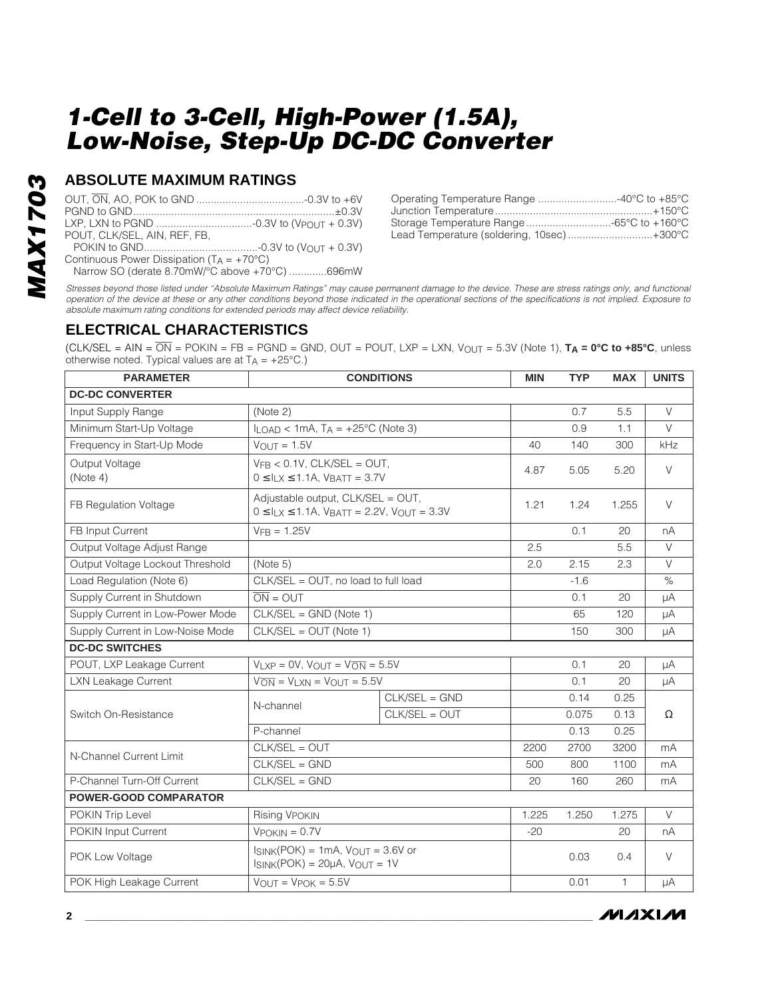## **ABSOLUTE MAXIMUM RATINGS**

| POUT. CLK/SEL. AIN. REF. FB.                        |  |
|-----------------------------------------------------|--|
|                                                     |  |
| Continuous Power Dissipation $(T_A = +70^{\circ}C)$ |  |
| Narrow SO (derate 8.70mW/°C above +70°C) 696mW      |  |

| Operating Temperature Range 40°C to +85°C |  |
|-------------------------------------------|--|
|                                           |  |
| Storage Temperature Range -65°C to +160°C |  |
| Lead Temperature (soldering, 10sec)+300°C |  |

Stresses beyond those listed under "Absolute Maximum Ratings" may cause permanent damage to the device. These are stress ratings only, and functional operation of the device at these or any other conditions beyond those indicated in the operational sections of the specifications is not implied. Exposure to absolute maximum rating conditions for extended periods may affect device reliability.

## **ELECTRICAL CHARACTERISTICS**

 $(CLK/SEL = AIN = \overline{ON} = POKIN = FB = PGND = GND, OUT = POUT, LXP = LXN, VOUT = 5.3V (Note 1), **TA = 0°C to +85°C**, unless$ otherwise noted. Typical values are at  $T_A = +25^{\circ}C$ .)

| <b>PARAMETER</b>                 | <b>CONDITIONS</b>                                                                                                |                 | <b>MIN</b> | <b>TYP</b> | <b>MAX</b> | <b>UNITS</b> |  |
|----------------------------------|------------------------------------------------------------------------------------------------------------------|-----------------|------------|------------|------------|--------------|--|
| <b>DC-DC CONVERTER</b>           |                                                                                                                  |                 |            |            |            |              |  |
| Input Supply Range               | (Note 2)                                                                                                         |                 |            | 0.7        | 5.5        | $\vee$       |  |
| Minimum Start-Up Voltage         | $I_{LOAD}$ < 1mA, $T_A$ = +25°C (Note 3)                                                                         |                 |            | 0.9        | 1.1        | $\vee$       |  |
| Frequency in Start-Up Mode       | $V_{\text{OUT}} = 1.5V$                                                                                          |                 | 40         | 140        | 300        | kHz          |  |
| Output Voltage<br>(Note 4)       | $V_{FB}$ < 0.1V, CLK/SEL = OUT,<br>$0 \le I_{LX} \le 1.1$ A, VBATT = 3.7V                                        |                 |            | 5.05       | 5.20       | $\vee$       |  |
| FB Regulation Voltage            | Adjustable output, CLK/SEL = OUT,<br>$0 \le I_{LX} \le 1.1$ A, V <sub>BATT</sub> = 2.2V, V <sub>OUT</sub> = 3.3V |                 | 1.21       | 1.24       | 1.255      | $\vee$       |  |
| FB Input Current                 | $VFB = 1.25V$                                                                                                    |                 |            | 0.1        | 20         | nA           |  |
| Output Voltage Adjust Range      |                                                                                                                  |                 | 2.5        |            | 5.5        | $\vee$       |  |
| Output Voltage Lockout Threshold | (Note 5)                                                                                                         |                 | 2.0        | 2.15       | 2.3        | $\vee$       |  |
| Load Regulation (Note 6)         | CLK/SEL = OUT, no load to full load                                                                              |                 |            | $-1.6$     |            | $\%$         |  |
| Supply Current in Shutdown       | $\overline{ON} = OUT$                                                                                            |                 |            | 0.1        | 20         | μA           |  |
| Supply Current in Low-Power Mode | $CLK/SEL = GND (Note 1)$                                                                                         |                 |            | 65         | 120        | μA           |  |
| Supply Current in Low-Noise Mode | $CLK/SEL = OUT (Note 1)$                                                                                         |                 |            | 150        | 300        | μA           |  |
| <b>DC-DC SWITCHES</b>            |                                                                                                                  |                 |            |            |            |              |  |
| POUT, LXP Leakage Current        | $V_{LXP} = 0V$ , $V_{OUIT} = V_{ON} = 5.5V$                                                                      |                 |            | 0.1        | 20         | μA           |  |
| <b>LXN Leakage Current</b>       | $V_{\overline{ON}} = V_{LYN} = V_{OUT} = 5.5V$                                                                   |                 |            | 0.1        | 20         | μA           |  |
|                                  | N-channel                                                                                                        | $CLK/SEL = GND$ |            | 0.14       | 0.25       | $\Omega$     |  |
| Switch On-Resistance             |                                                                                                                  | $CLK/SEL = OUT$ |            | 0.075      | 0.13       |              |  |
|                                  | P-channel                                                                                                        |                 |            | 0.13       | 0.25       |              |  |
| N-Channel Current Limit          | CLK/SEL = OUT                                                                                                    |                 | 2200       | 2700       | 3200       | mA           |  |
|                                  | $CLK/SEL = GND$                                                                                                  |                 | 500        | 800        | 1100       | mA           |  |
| P-Channel Turn-Off Current       | $CLK/SEL = GND$                                                                                                  |                 |            | 160        | 260        | mA           |  |
| <b>POWER-GOOD COMPARATOR</b>     |                                                                                                                  |                 |            |            |            |              |  |
| POKIN Trip Level                 | <b>Rising VPOKIN</b>                                                                                             |                 | 1.225      | 1.250      | 1.275      | $\vee$       |  |
| POKIN Input Current              | $V$ POKIN = 0.7 $V$                                                                                              |                 | $-20$      |            | 20         | nA           |  |
| POK Low Voltage                  | $I_{SINK}(POK) = 1mA$ , $V_{OUIT} = 3.6V$ or<br>$ISINK(POK) = 20\mu A$ , $VOUT = 1V$                             |                 |            | 0.03       | 0.4        | $\vee$       |  |
| POK High Leakage Current         | $V_{OUT} = V_{POK} = 5.5V$                                                                                       |                 |            | 0.01       | 1          | μA           |  |

/VI/IXI/VI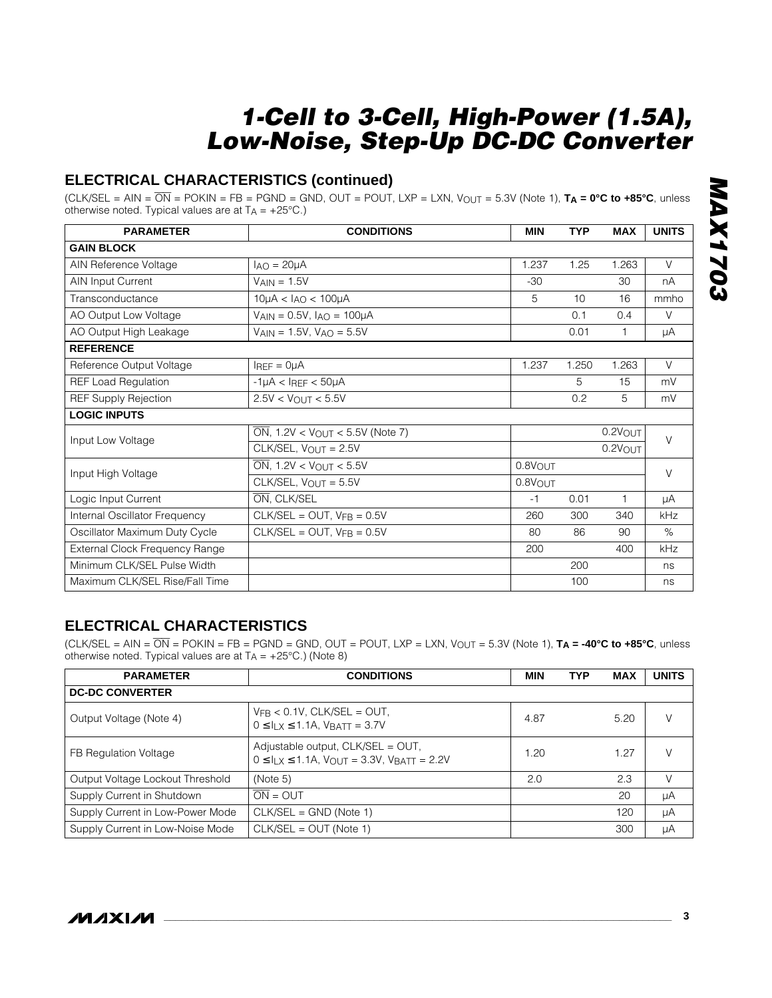# **ELECTRICAL CHARACTERISTICS (continued)**

 $(CLK/SEL = AIN = \overline{ON} = POKIN = FB = PGND = GND, OUT = POUT, LXP = LXN, VOUT = 5.3V (Note 1), **T<sub>A</sub> = 0°C to +85°C**, unless$ otherwise noted. Typical values are at  $T_A = +25^{\circ}C$ .)

| <b>PARAMETER</b>               | <b>CONDITIONS</b>                                | <b>MIN</b>          | <b>TYP</b> | <b>MAX</b>          | <b>UNITS</b> |  |
|--------------------------------|--------------------------------------------------|---------------------|------------|---------------------|--------------|--|
| <b>GAIN BLOCK</b>              |                                                  |                     |            |                     |              |  |
| AIN Reference Voltage          | $I_{AO} = 20\mu A$                               | 1.237               | 1.25       | 1.263               | $\vee$       |  |
| AIN Input Current              | $V_{\text{AIN}} = 1.5V$                          | $-30$               |            | 30                  | nA           |  |
| Transconductance               | $10\mu$ A < $I_{AO}$ < $100\mu$ A                | 5                   | 10         | 16                  | mmho         |  |
| AO Output Low Voltage          | $VAIN = 0.5V$ , $IAO = 100\mu A$                 |                     | 0.1        | 0.4                 | $\vee$       |  |
| AO Output High Leakage         | $V_{\text{AIN}} = 1.5V$ , $V_{\text{AO}} = 5.5V$ |                     | 0.01       | 1                   | μA           |  |
| <b>REFERENCE</b>               |                                                  |                     |            |                     |              |  |
| Reference Output Voltage       | $IREF = OµA$                                     | 1.237               | 1.250      | 1.263               | $\vee$       |  |
| <b>REF Load Regulation</b>     | $-1\mu A < I_{REF} < 50\mu A$                    |                     | 5          | 15                  | mV           |  |
| <b>REF Supply Rejection</b>    | $2.5V < V_{\text{OUT}} < 5.5V$                   |                     | 0.2        | 5                   | mV           |  |
| <b>LOGIC INPUTS</b>            |                                                  |                     |            |                     |              |  |
| Input Low Voltage              | $\overline{ON}$ , 1.2V < VOUT < 5.5V (Note 7)    |                     |            | $0.2V_{\text{OUT}}$ | $\vee$       |  |
|                                | $CLK/SEL$ , $V_{OUT} = 2.5V$                     |                     |            | $0.2V$ OUT          |              |  |
| Input High Voltage             | $\overline{ON}$ , 1.2V < $V_{OUT}$ < 5.5V        | $0.8V$ OUT          |            |                     | $\vee$       |  |
|                                | CLK/SEL, $V_{OUT} = 5.5V$                        | 0.8V <sub>OUT</sub> |            |                     |              |  |
| Logic Input Current            | ON, CLK/SEL                                      | $-1$                | 0.01       | 1                   | μA           |  |
| Internal Oscillator Frequency  | $CLK/SEL = OUT, VFB = 0.5V$                      | 260                 | 300        | 340                 | kHz          |  |
| Oscillator Maximum Duty Cycle  | $CLK/SEL = OUT, VFB = 0.5V$                      | 80                  | 86         | 90                  | $\%$         |  |
| External Clock Frequency Range |                                                  | 200                 |            | 400                 | kHz          |  |
| Minimum CLK/SEL Pulse Width    |                                                  |                     | 200        |                     | ns           |  |
| Maximum CLK/SEL Rise/Fall Time |                                                  |                     | 100        |                     | ns           |  |

# **ELECTRICAL CHARACTERISTICS**

 $(CLK/SEL = AIN = \overline{ON} = POKIN = FB = PGND = GND, OUT = POUT, LXP = LXN, V<sub>OUT</sub> = 5.3V (Note 1),  $T_A = -40^{\circ}C$  to +85°C, unless$ otherwise noted. Typical values are at  $T_A = +25^{\circ}C$ .) (Note 8)

| <b>PARAMETER</b>                 | <b>CONDITIONS</b>                                                                                       |      | <b>TYP</b> | <b>MAX</b> | <b>UNITS</b> |
|----------------------------------|---------------------------------------------------------------------------------------------------------|------|------------|------------|--------------|
| <b>DC-DC CONVERTER</b>           |                                                                                                         |      |            |            |              |
| Output Voltage (Note 4)          | $V_{FB}$ < 0.1V, CLK/SEL = OUT,<br>$0 \leq I_{L} \leq 1.1$ A, VBATT = 3.7V                              | 4.87 |            | 5.20       | V            |
| FB Regulation Voltage            | Adjustable output, $CLK/SEL = OUT$ ,<br>$0 \le I_{LX} \le 1.1$ A, $V_{OUT} = 3.3$ V, $V_{BATT} = 2.2$ V | 1.20 |            | 1 27       | V            |
| Output Voltage Lockout Threshold | (Note 5)                                                                                                | 2.0  |            | 2.3        | V            |
| Supply Current in Shutdown       | $\overline{ON} = OUT$                                                                                   |      |            | 20         | μA           |
| Supply Current in Low-Power Mode | $CLK/SEL = GND (Note 1)$                                                                                |      |            | 120        | μA           |
| Supply Current in Low-Noise Mode | $CLK/SEL = OUT (Note 1)$                                                                                |      |            | 300        | μA           |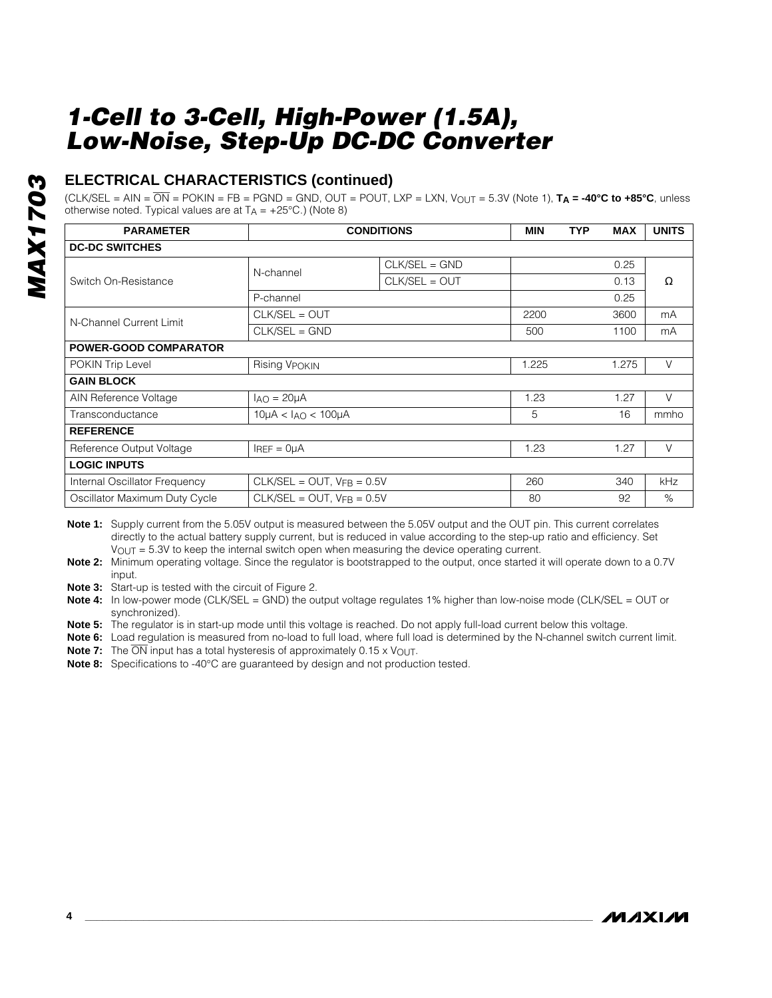# **ELECTRICAL CHARACTERISTICS (continued)**

 $(CLK/SEL = AIN = \overline{ON} = POKIN = FB = PGND = GND, OUT = POUT, LXP = LXN, VOUT = 5.3V (Note 1), **TA = -40°C** to +85°C, unless$ otherwise noted. Typical values are at  $T_A = +25^{\circ}C$ .) (Note 8)

| <b>PARAMETER</b>              | <b>CONDITIONS</b>                 | <b>MIN</b>      | <b>TYP</b> | <b>MAX</b> | <b>UNITS</b> |        |
|-------------------------------|-----------------------------------|-----------------|------------|------------|--------------|--------|
| <b>DC-DC SWITCHES</b>         |                                   |                 |            |            |              |        |
| Switch On-Resistance          | N-channel                         | $CLK/SEL = GND$ |            |            | 0.25         |        |
|                               |                                   | CLK/SEL = OUT   |            |            | 0.13         | Ω      |
|                               | P-channel                         |                 |            |            | 0.25         |        |
| N-Channel Current Limit       | CLK/SEL = OUT                     |                 | 2200       |            | 3600         | mA     |
|                               | $CLK/SEL = GND$                   |                 |            |            | 1100         | mA     |
| <b>POWER-GOOD COMPARATOR</b>  |                                   |                 |            |            |              |        |
| POKIN Trip Level              | <b>Rising VPOKIN</b>              | 1.225           |            | 1.275      | $\vee$       |        |
| <b>GAIN BLOCK</b>             |                                   |                 |            |            |              |        |
| AIN Reference Voltage         | $I_{AO} = 20 \mu A$               |                 | 1.23       |            | 1.27         | $\vee$ |
| Transconductance              | $10\mu$ A < $I_{AO}$ < $100\mu$ A | 5               |            | 16         | mmho         |        |
| <b>REFERENCE</b>              |                                   |                 |            |            |              |        |
| Reference Output Voltage      | $I_{REF} = 0 \mu A$               | 1.23            |            | 1.27       | $\vee$       |        |
| <b>LOGIC INPUTS</b>           |                                   |                 |            |            |              |        |
| Internal Oscillator Frequency | $CLK/SEL = OUT, VFB = 0.5V$       |                 | 260        |            | 340          | kHz    |
| Oscillator Maximum Duty Cycle | $CLK/SEL = OUT$ , $VFB = 0.5V$    | 80              |            | 92         | %            |        |

**Note 1:** Supply current from the 5.05V output is measured between the 5.05V output and the OUT pin. This current correlates directly to the actual battery supply current, but is reduced in value according to the step-up ratio and efficiency. Set  $V<sub>OUT</sub> = 5.3V$  to keep the internal switch open when measuring the device operating current.

**Note 2:** Minimum operating voltage. Since the regulator is bootstrapped to the output, once started it will operate down to a 0.7V input.

**Note 3:** Start-up is tested with the circuit of Figure 2.

**Note 4:** In low-power mode (CLK/SEL = GND) the output voltage regulates 1% higher than low-noise mode (CLK/SEL = OUT or synchronized).

**Note 5:** The regulator is in start-up mode until this voltage is reached. Do not apply full-load current below this voltage.

**Note 6:** Load regulation is measured from no-load to full load, where full load is determined by the N-channel switch current limit.

**Note 7:** The  $\overline{ON}$  input has a total hysteresis of approximately 0.15 x V<sub>OUT</sub>.

**Note 8:** Specifications to -40°C are guaranteed by design and not production tested.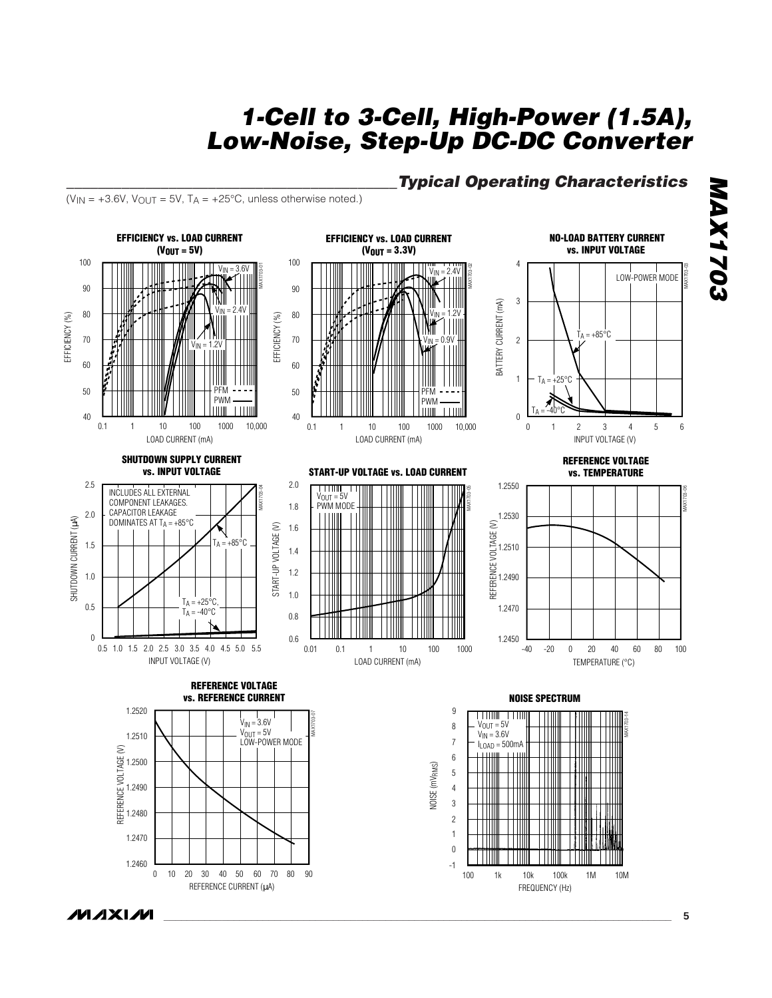$(V_{IN} = +3.6V, V_{OUT} = 5V, T_A = +25°C,$  unless otherwise noted.)



# **\_\_\_\_\_\_\_\_\_\_\_\_\_\_\_\_\_\_\_\_\_\_\_\_\_\_\_\_\_\_\_\_\_\_\_\_\_\_\_\_\_\_Typical Operating Characteristics**

FREQUENCY (Hz)

*MAXIM* 

REFERENCE CURRENT (µA)

**MAX1703**

**MAX1703**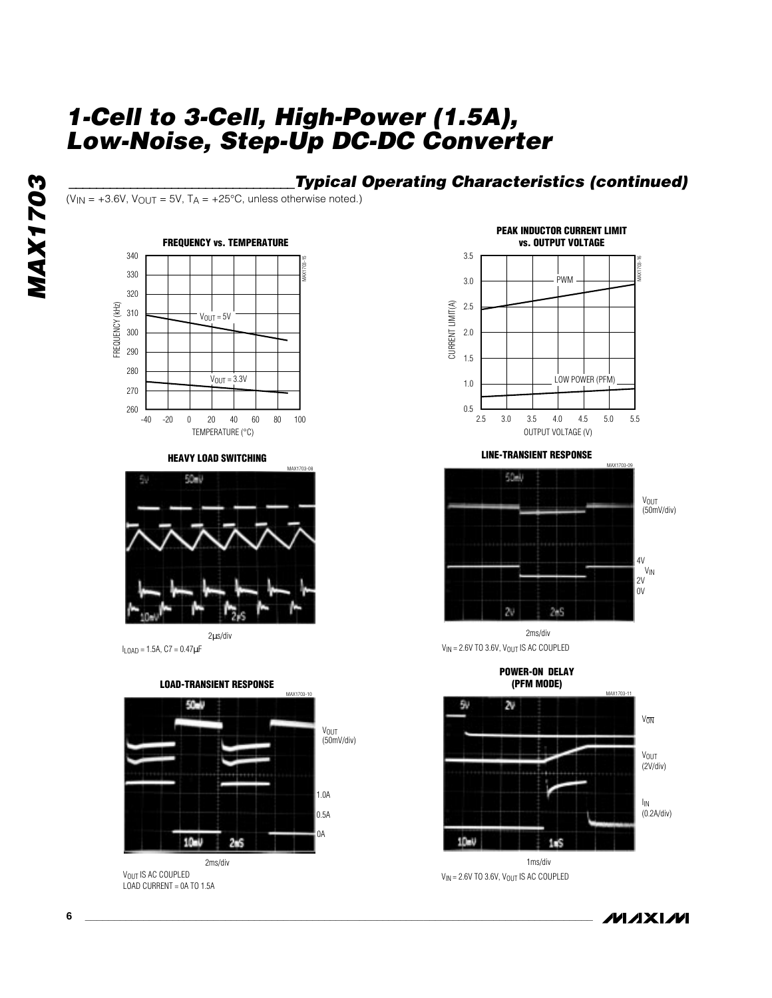# **\_\_\_\_\_\_\_\_\_\_\_\_\_\_\_\_\_\_\_\_\_\_\_\_\_\_\_\_\_\_\_\_\_Typical Operating Characteristics (continued)**

( $V_{IN}$  = +3.6V,  $V_{OUT}$  = 5V, T<sub>A</sub> = +25°C, unless otherwise noted.)



**HEAVY LOAD SWITCHING**



 $I_{LOAD} = 1.5A$ ,  $C7 = 0.47 \mu F$ 



V<sub>OUT</sub> IS AC COUPLED LOAD CURRENT = 0A TO 1.5A



**LINE-TRANSIENT RESPONSE**



2ms/div  $V_{IN} = 2.6V$  TO 3.6V,  $V_{OUT}$  IS AC COUPLED

**POWER-ON DELAY**



 $V_{IN}$  = 2.6V TO 3.6V,  $V_{OUT}$  IS AC COUPLED

**MAXIM**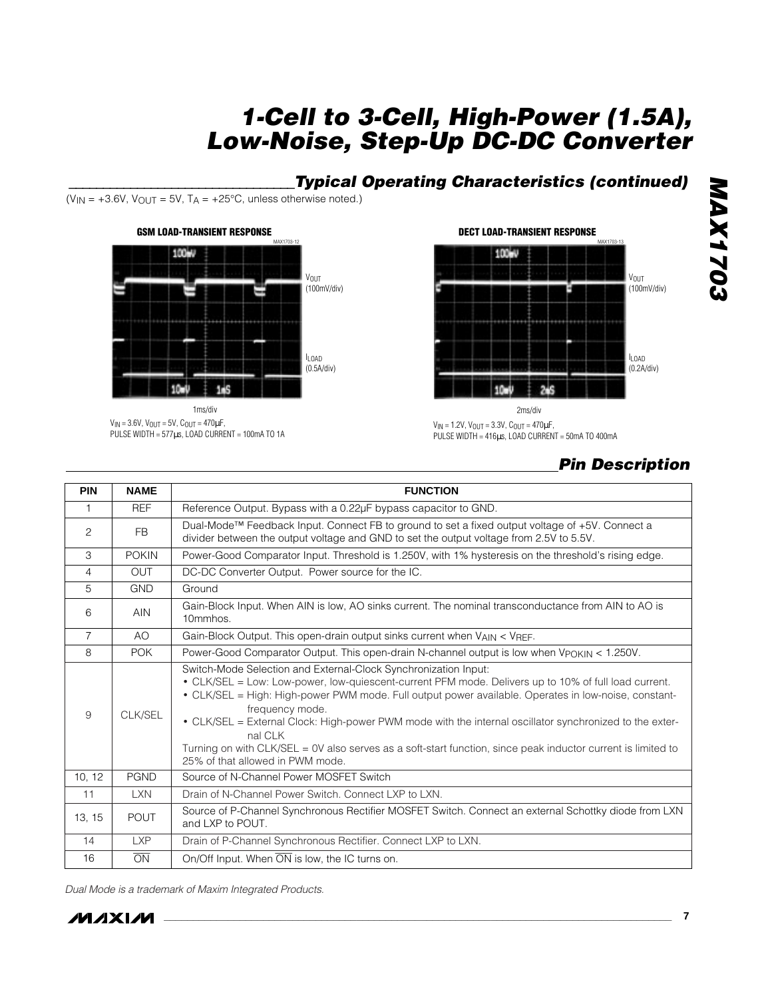# **\_\_\_\_\_\_\_\_\_\_\_\_\_\_\_\_\_\_\_\_\_\_\_\_\_\_\_\_\_\_\_\_\_Typical Operating Characteristics (continued)**

 $(V_{IN} = +3.6V, V_{OUT} = 5V, T_A = +25°C,$  unless otherwise noted.)



 $V_{IN} = 3.6V$ ,  $V_{OUT} = 5V$ ,  $C_{OUT} = 470 \mu F$ , PULSE WIDTH = 577µs, LOAD CURRENT = 100mA TO 1A



 $V_{IN} = 1.2V$ ,  $V_{OUT} = 3.3V$ ,  $C_{OUT} = 470 \mu F$ , PULSE WIDTH = 416µs, LOAD CURRENT = 50mA TO 400mA

# **Pin Description**

**MAX1703**

**MAX1703** 

| <b>PIN</b>     | <b>NAME</b>     | <b>FUNCTION</b>                                                                                                                                                                                                                                                                                                                                                                                                                                                                                                                                                              |  |  |  |
|----------------|-----------------|------------------------------------------------------------------------------------------------------------------------------------------------------------------------------------------------------------------------------------------------------------------------------------------------------------------------------------------------------------------------------------------------------------------------------------------------------------------------------------------------------------------------------------------------------------------------------|--|--|--|
| 1              | <b>REF</b>      | Reference Output. Bypass with a 0.22µF bypass capacitor to GND.                                                                                                                                                                                                                                                                                                                                                                                                                                                                                                              |  |  |  |
| 2              | FB.             | Dual-Mode™ Feedback Input. Connect FB to ground to set a fixed output voltage of +5V. Connect a<br>divider between the output voltage and GND to set the output voltage from 2.5V to 5.5V.                                                                                                                                                                                                                                                                                                                                                                                   |  |  |  |
| 3              | <b>POKIN</b>    | Power-Good Comparator Input. Threshold is 1.250V, with 1% hysteresis on the threshold's rising edge.                                                                                                                                                                                                                                                                                                                                                                                                                                                                         |  |  |  |
| $\overline{4}$ | <b>OUT</b>      | DC-DC Converter Output. Power source for the IC.                                                                                                                                                                                                                                                                                                                                                                                                                                                                                                                             |  |  |  |
| 5              | <b>GND</b>      | Ground                                                                                                                                                                                                                                                                                                                                                                                                                                                                                                                                                                       |  |  |  |
| 6              | <b>AIN</b>      | Gain-Block Input. When AIN is low, AO sinks current. The nominal transconductance from AIN to AO is<br>10mmhos.                                                                                                                                                                                                                                                                                                                                                                                                                                                              |  |  |  |
| $\overline{7}$ | AO.             | Gain-Block Output. This open-drain output sinks current when VAIN < VREF.                                                                                                                                                                                                                                                                                                                                                                                                                                                                                                    |  |  |  |
| 8              | <b>POK</b>      | Power-Good Comparator Output. This open-drain N-channel output is low when V <sub>POKIN</sub> < 1.250V.                                                                                                                                                                                                                                                                                                                                                                                                                                                                      |  |  |  |
| 9              | CLK/SEL         | Switch-Mode Selection and External-Clock Synchronization Input:<br>• CLK/SEL = Low: Low-power, low-quiescent-current PFM mode. Delivers up to 10% of full load current.<br>• CLK/SEL = High: High-power PWM mode. Full output power available. Operates in low-noise, constant-<br>frequency mode.<br>• CLK/SEL = External Clock: High-power PWM mode with the internal oscillator synchronized to the exter-<br>nal CLK<br>Turning on with CLK/SEL = 0V also serves as a soft-start function, since peak inductor current is limited to<br>25% of that allowed in PWM mode. |  |  |  |
| 10, 12         | <b>PGND</b>     | Source of N-Channel Power MOSFET Switch                                                                                                                                                                                                                                                                                                                                                                                                                                                                                                                                      |  |  |  |
| 11             | <b>LXN</b>      | Drain of N-Channel Power Switch, Connect LXP to LXN.                                                                                                                                                                                                                                                                                                                                                                                                                                                                                                                         |  |  |  |
| 13, 15         | <b>POUT</b>     | Source of P-Channel Synchronous Rectifier MOSFET Switch. Connect an external Schottky diode from LXN<br>and LXP to POUT.                                                                                                                                                                                                                                                                                                                                                                                                                                                     |  |  |  |
| 14             | <b>LXP</b>      | Drain of P-Channel Synchronous Rectifier. Connect LXP to LXN.                                                                                                                                                                                                                                                                                                                                                                                                                                                                                                                |  |  |  |
| 16             | $\overline{ON}$ | On/Off Input. When $\overline{ON}$ is low, the IC turns on.                                                                                                                                                                                                                                                                                                                                                                                                                                                                                                                  |  |  |  |

Dual Mode is a trademark of Maxim Integrated Products.

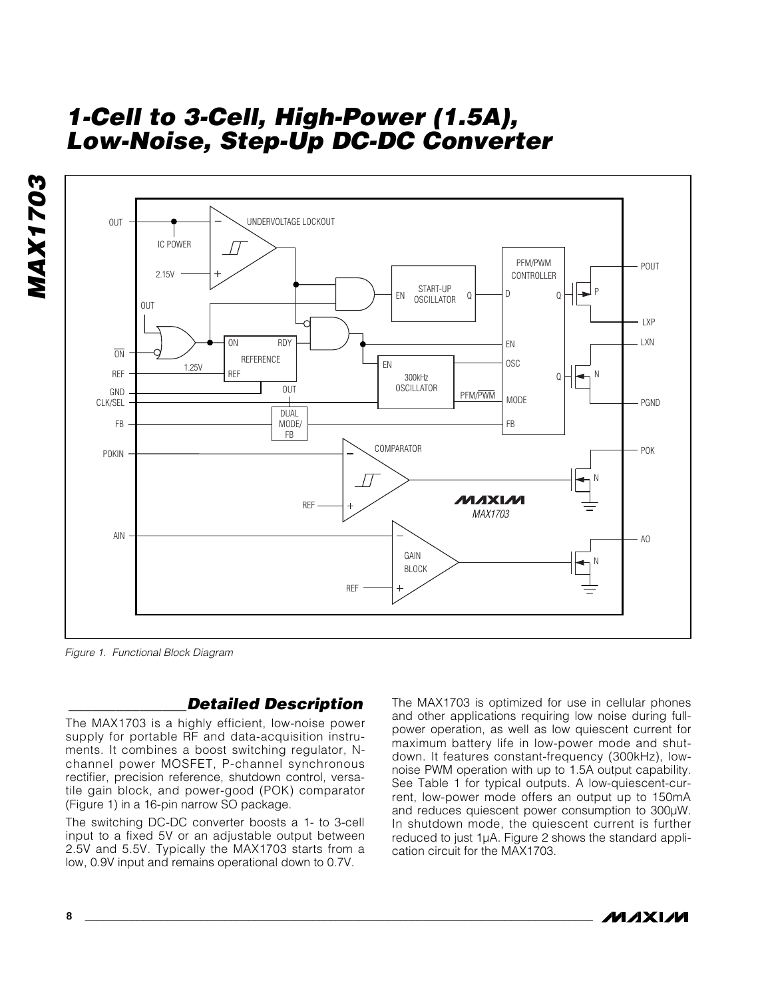

Figure 1. Functional Block Diagram

**MAX1703**

# **\_\_\_\_\_\_\_\_\_\_\_\_\_\_\_Detailed Description**

**8 \_\_\_\_\_\_\_\_\_\_\_\_\_\_\_\_\_\_\_\_\_\_\_\_\_\_\_\_\_\_\_\_\_\_\_\_\_\_\_\_\_\_\_\_\_\_\_\_\_\_\_\_\_\_\_\_\_\_\_\_\_\_\_\_\_\_\_\_\_\_\_\_\_\_\_\_\_\_\_\_\_\_\_\_\_\_\_**

The MAX1703 is a highly efficient, low-noise power supply for portable RF and data-acquisition instruments. It combines a boost switching regulator, Nchannel power MOSFET, P-channel synchronous rectifier, precision reference, shutdown control, versatile gain block, and power-good (POK) comparator (Figure 1) in a 16-pin narrow SO package.

The switching DC-DC converter boosts a 1- to 3-cell input to a fixed 5V or an adjustable output between 2.5V and 5.5V. Typically the MAX1703 starts from a low, 0.9V input and remains operational down to 0.7V.

The MAX1703 is optimized for use in cellular phones and other applications requiring low noise during fullpower operation, as well as low quiescent current for maximum battery life in low-power mode and shutdown. It features constant-frequency (300kHz), lownoise PWM operation with up to 1.5A output capability. See Table 1 for typical outputs. A low-quiescent-current, low-power mode offers an output up to 150mA and reduces quiescent power consumption to 300µW. In shutdown mode, the quiescent current is further reduced to just 1µA. Figure 2 shows the standard application circuit for the MAX1703.

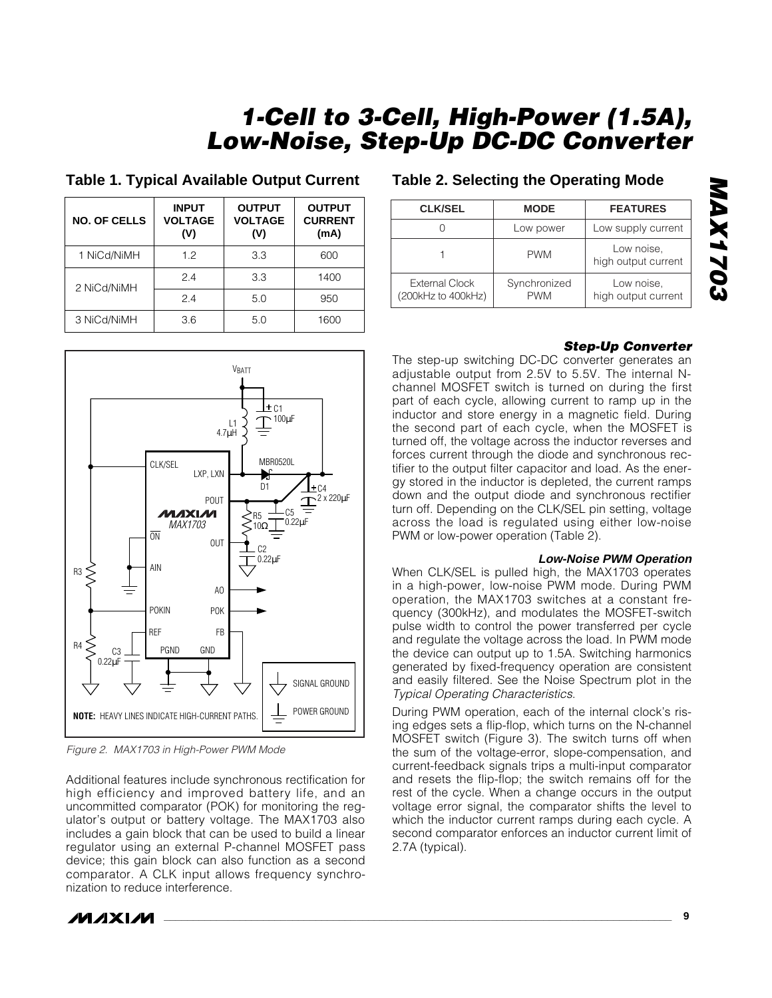| <b>NO. OF CELLS</b> | <b>INPUT</b><br><b>VOLTAGE</b><br>(V) | <b>OUTPUT</b><br><b>VOLTAGE</b><br>(V) | <b>OUTPUT</b><br><b>CURRENT</b><br>(mA) |
|---------------------|---------------------------------------|----------------------------------------|-----------------------------------------|
| 1 NiCd/NiMH         | 1.2                                   | 3.3                                    | 600                                     |
| 2 NiCd/NiMH         | 24                                    | 3.3                                    | 1400                                    |
|                     | 24                                    | 5.0                                    | 950                                     |
| 3 NiCd/NiMH         | 3.6                                   | 5.0                                    | 1600                                    |

## **Table 1. Typical Available Output Current**



Figure 2. MAX1703 in High-Power PWM Mode

Additional features include synchronous rectification for high efficiency and improved battery life, and an uncommitted comparator (POK) for monitoring the regulator's output or battery voltage. The MAX1703 also includes a gain block that can be used to build a linear regulator using an external P-channel MOSFET pass device; this gain block can also function as a second comparator. A CLK input allows frequency synchronization to reduce interference.

# **Table 2. Selecting the Operating Mode**

| <b>CLK/SEL</b>                              | <b>MODE</b>                | <b>FEATURES</b>                   |
|---------------------------------------------|----------------------------|-----------------------------------|
|                                             | Low power                  | Low supply current                |
|                                             | <b>PWM</b>                 | Low noise,<br>high output current |
| <b>External Clock</b><br>(200kHz to 400kHz) | Synchronized<br><b>PWM</b> | Low noise,<br>high output current |

## **Step-Up Converter**

The step-up switching DC-DC converter generates an adjustable output from 2.5V to 5.5V. The internal Nchannel MOSFET switch is turned on during the first part of each cycle, allowing current to ramp up in the inductor and store energy in a magnetic field. During the second part of each cycle, when the MOSFET is turned off, the voltage across the inductor reverses and forces current through the diode and synchronous rectifier to the output filter capacitor and load. As the energy stored in the inductor is depleted, the current ramps down and the output diode and synchronous rectifier turn off. Depending on the CLK/SEL pin setting, voltage across the load is regulated using either low-noise PWM or low-power operation (Table 2).

#### **Low-Noise PWM Operation**

When CLK/SEL is pulled high, the MAX1703 operates in a high-power, low-noise PWM mode. During PWM operation, the MAX1703 switches at a constant frequency (300kHz), and modulates the MOSFET-switch pulse width to control the power transferred per cycle and regulate the voltage across the load. In PWM mode the device can output up to 1.5A. Switching harmonics generated by fixed-frequency operation are consistent and easily filtered. See the Noise Spectrum plot in the Typical Operating Characteristics.

During PWM operation, each of the internal clock's rising edges sets a flip-flop, which turns on the N-channel MOSFET switch (Figure 3). The switch turns off when the sum of the voltage-error, slope-compensation, and current-feedback signals trips a multi-input comparator and resets the flip-flop; the switch remains off for the rest of the cycle. When a change occurs in the output voltage error signal, the comparator shifts the level to which the inductor current ramps during each cycle. A second comparator enforces an inductor current limit of 2.7A (typical).

**MAX1703 COZIXVIN** 

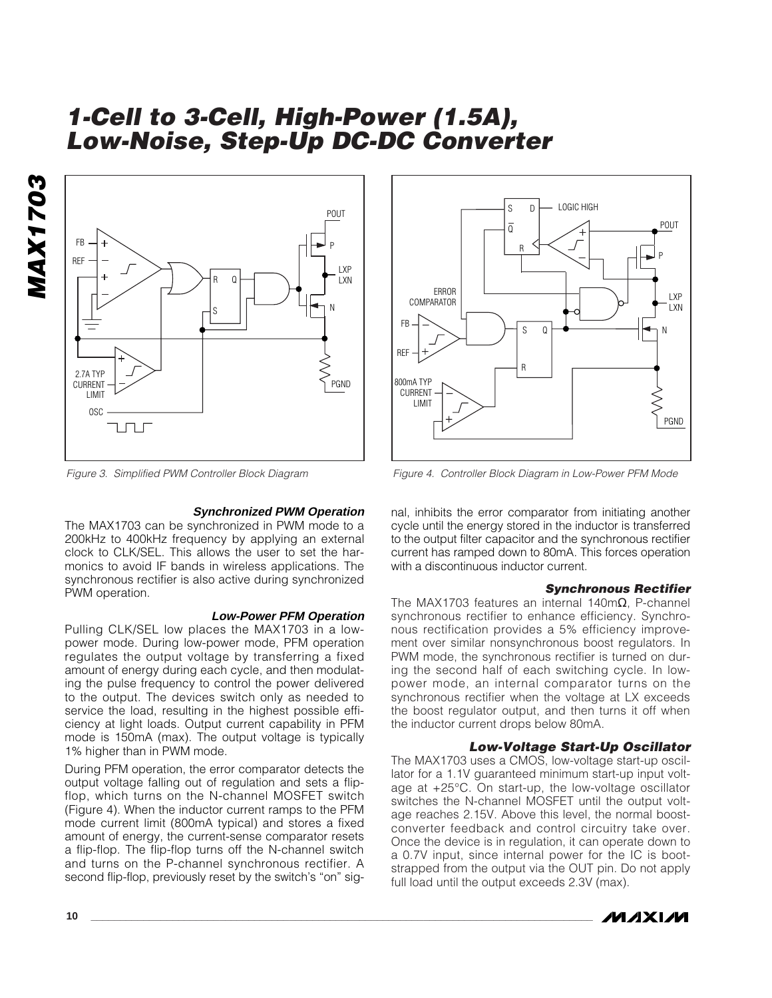



Figure 3. Simplified PWM Controller Block Diagram

#### **Synchronized PWM Operation**

The MAX1703 can be synchronized in PWM mode to a 200kHz to 400kHz frequency by applying an external clock to CLK/SEL. This allows the user to set the harmonics to avoid IF bands in wireless applications. The synchronous rectifier is also active during synchronized PWM operation.

#### **Low-Power PFM Operation**

Pulling CLK/SEL low places the MAX1703 in a lowpower mode. During low-power mode, PFM operation regulates the output voltage by transferring a fixed amount of energy during each cycle, and then modulating the pulse frequency to control the power delivered to the output. The devices switch only as needed to service the load, resulting in the highest possible efficiency at light loads. Output current capability in PFM mode is 150mA (max). The output voltage is typically 1% higher than in PWM mode.

During PFM operation, the error comparator detects the output voltage falling out of regulation and sets a flipflop, which turns on the N-channel MOSFET switch (Figure 4). When the inductor current ramps to the PFM mode current limit (800mA typical) and stores a fixed amount of energy, the current-sense comparator resets a flip-flop. The flip-flop turns off the N-channel switch and turns on the P-channel synchronous rectifier. A second flip-flop, previously reset by the switch's "on" sig-



Figure 4. Controller Block Diagram in Low-Power PFM Mode

nal, inhibits the error comparator from initiating another cycle until the energy stored in the inductor is transferred to the output filter capacitor and the synchronous rectifier current has ramped down to 80mA. This forces operation with a discontinuous inductor current.

#### **Synchronous Rectifier**

The MAX1703 features an internal 140mΩ, P-channel synchronous rectifier to enhance efficiency. Synchronous rectification provides a 5% efficiency improvement over similar nonsynchronous boost regulators. In PWM mode, the synchronous rectifier is turned on during the second half of each switching cycle. In lowpower mode, an internal comparator turns on the synchronous rectifier when the voltage at LX exceeds the boost regulator output, and then turns it off when the inductor current drops below 80mA.

#### **Low-Voltage Start-Up Oscillator**

The MAX1703 uses a CMOS, low-voltage start-up oscillator for a 1.1V guaranteed minimum start-up input voltage at +25°C. On start-up, the low-voltage oscillator switches the N-channel MOSFET until the output voltage reaches 2.15V. Above this level, the normal boostconverter feedback and control circuitry take over. Once the device is in regulation, it can operate down to a 0.7V input, since internal power for the IC is bootstrapped from the output via the OUT pin. Do not apply full load until the output exceeds 2.3V (max).

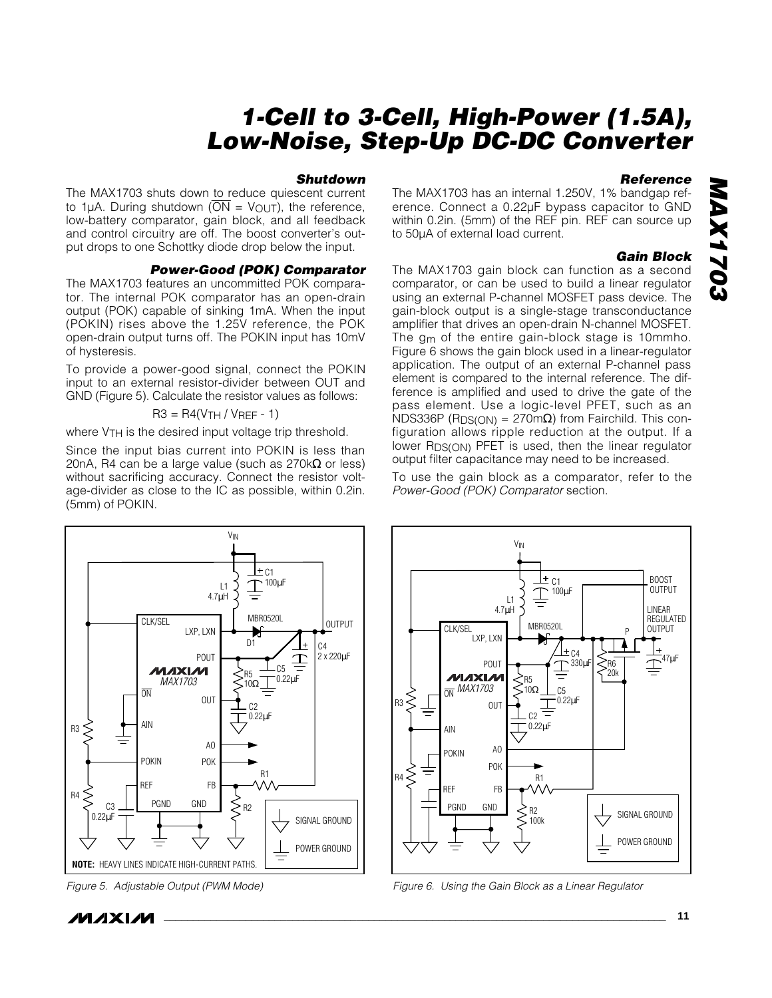#### **Shutdown**

The MAX1703 shuts down to reduce quiescent current to 1µA. During shutdown ( $\overline{ON}$  = V<sub>OUT</sub>), the reference, low-battery comparator, gain block, and all feedback and control circuitry are off. The boost converter's output drops to one Schottky diode drop below the input.

#### **Power-Good (POK) Comparator**

The MAX1703 features an uncommitted POK comparator. The internal POK comparator has an open-drain output (POK) capable of sinking 1mA. When the input (POKIN) rises above the 1.25V reference, the POK open-drain output turns off. The POKIN input has 10mV of hysteresis.

To provide a power-good signal, connect the POKIN input to an external resistor-divider between OUT and GND (Figure 5). Calculate the resistor values as follows:

$$
R3 = R4(VTH / VREF - 1)
$$

where V<sub>TH</sub> is the desired input voltage trip threshold.

Since the input bias current into POKIN is less than 20nA, R4 can be a large value (such as  $270k\Omega$  or less) without sacrificing accuracy. Connect the resistor voltage-divider as close to the IC as possible, within 0.2in. (5mm) of POKIN.

#### **Reference**

The MAX1703 has an internal 1.250V, 1% bandgap reference. Connect a 0.22µF bypass capacitor to GND within 0.2in. (5mm) of the REF pin. REF can source up to 50µA of external load current.

#### **Gain Block**

The MAX1703 gain block can function as a second comparator, or can be used to build a linear regulator using an external P-channel MOSFET pass device. The gain-block output is a single-stage transconductance amplifier that drives an open-drain N-channel MOSFET. The gm of the entire gain-block stage is 10mmho. Figure 6 shows the gain block used in a linear-regulator application. The output of an external P-channel pass element is compared to the internal reference. The difference is amplified and used to drive the gate of the pass element. Use a logic-level PFET, such as an NDS336P (R<sub>DS(ON)</sub> = 270mΩ) from Fairchild. This configuration allows ripple reduction at the output. If a lower R<sub>DS</sub>(ON) PFET is used, then the linear regulator output filter capacitance may need to be increased.

To use the gain block as a comparator, refer to the Power-Good (POK) Comparator section.



Figure 5. Adjustable Output (PWM Mode)

*MAXM* 



Figure 6. Using the Gain Block as a Linear Regulator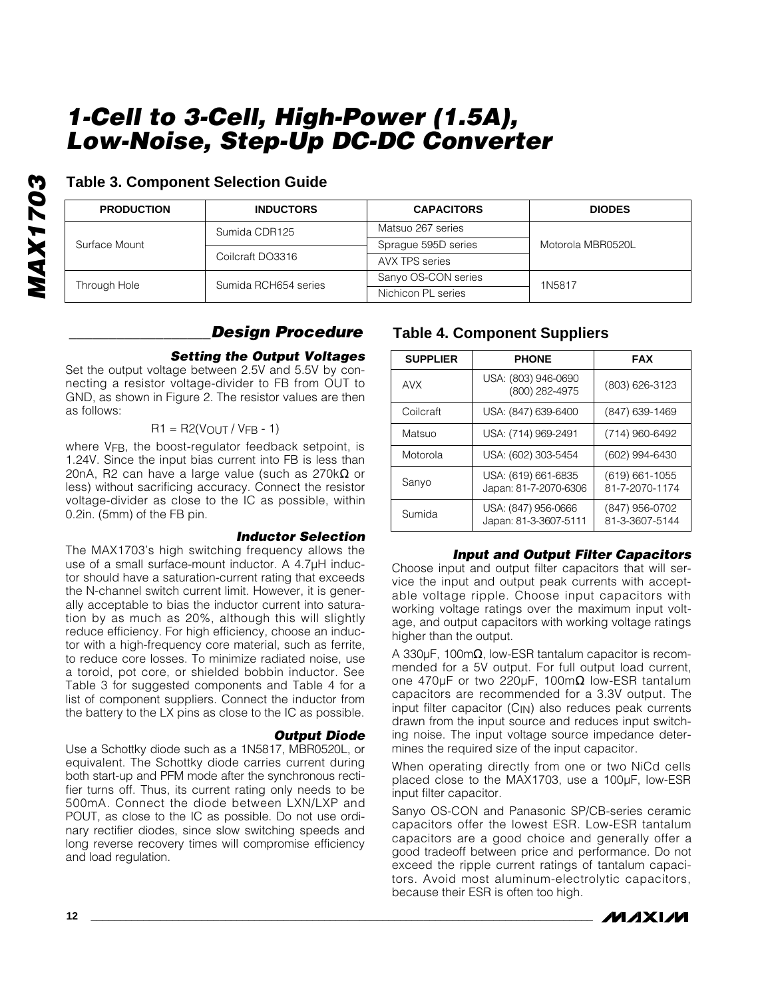| ς<br>ņ                          |
|---------------------------------|
| ಾ                               |
| I<br>٠                          |
| ٠<br>Ξ<br>$\blacktriangleright$ |
|                                 |
|                                 |
|                                 |

## **Table 3. Component Selection Guide**

| <b>PRODUCTION</b> | <b>INDUCTORS</b>     | <b>CAPACITORS</b>   | <b>DIODES</b>     |
|-------------------|----------------------|---------------------|-------------------|
|                   | Sumida CDR125        | Matsuo 267 series   |                   |
| Surface Mount     |                      | Sprague 595D series | Motorola MBR0520L |
|                   | Coilcraft DO3316     | AVX TPS series      |                   |
|                   | Sumida RCH654 series | Sanyo OS-CON series | 1N5817            |
| Through Hole      |                      | Nichicon PL series  |                   |

## **\_\_\_\_\_\_\_\_\_\_\_\_\_\_\_\_\_\_Design Procedure**

## **Setting the Output Voltages**

Set the output voltage between 2.5V and 5.5V by connecting a resistor voltage-divider to FB from OUT to GND, as shown in Figure 2. The resistor values are then as follows:

## $R1 = R2(V_{OUT} / V_{FB} - 1)$

where VFB, the boost-regulator feedback setpoint, is 1.24V. Since the input bias current into FB is less than 20nA, R2 can have a large value (such as 270 $k\Omega$  or less) without sacrificing accuracy. Connect the resistor voltage-divider as close to the IC as possible, within 0.2in. (5mm) of the FB pin.

## **Inductor Selection**

The MAX1703's high switching frequency allows the use of a small surface-mount inductor. A 4.7µH inductor should have a saturation-current rating that exceeds the N-channel switch current limit. However, it is generally acceptable to bias the inductor current into saturation by as much as 20%, although this will slightly reduce efficiency. For high efficiency, choose an inductor with a high-frequency core material, such as ferrite, to reduce core losses. To minimize radiated noise, use a toroid, pot core, or shielded bobbin inductor. See Table 3 for suggested components and Table 4 for a list of component suppliers. Connect the inductor from the battery to the LX pins as close to the IC as possible.

## **Output Diode**

Use a Schottky diode such as a 1N5817, MBR0520L, or equivalent. The Schottky diode carries current during both start-up and PFM mode after the synchronous rectifier turns off. Thus, its current rating only needs to be 500mA. Connect the diode between LXN/LXP and POUT, as close to the IC as possible. Do not use ordinary rectifier diodes, since slow switching speeds and long reverse recovery times will compromise efficiency and load regulation.

# **Table 4. Component Suppliers**

| <b>SUPPLIER</b> | <b>PHONE</b>                                 | <b>FAX</b>                           |
|-----------------|----------------------------------------------|--------------------------------------|
| <b>AVX</b>      | USA: (803) 946-0690<br>(800) 282-4975        | (803) 626-3123                       |
| Coilcraft       | USA: (847) 639-6400                          | (847) 639-1469                       |
| Matsuo          | USA: (714) 969-2491                          | (714) 960-6492                       |
| Motorola        | USA: (602) 303-5454                          | (602) 994-6430                       |
| Sanyo           | USA: (619) 661-6835<br>Japan: 81-7-2070-6306 | $(619) 661 - 1055$<br>81-7-2070-1174 |
| Sumida          | USA: (847) 956-0666<br>Japan: 81-3-3607-5111 | (847) 956-0702<br>81-3-3607-5144     |

## **Input and Output Filter Capacitors**

Choose input and output filter capacitors that will service the input and output peak currents with acceptable voltage ripple. Choose input capacitors with working voltage ratings over the maximum input voltage, and output capacitors with working voltage ratings higher than the output.

A 330µF, 100mΩ, low-ESR tantalum capacitor is recommended for a 5V output. For full output load current, one 470µF or two 220µF, 100mΩ low-ESR tantalum capacitors are recommended for a 3.3V output. The input filter capacitor  $(C_{\text{IN}})$  also reduces peak currents drawn from the input source and reduces input switching noise. The input voltage source impedance determines the required size of the input capacitor.

When operating directly from one or two NiCd cells placed close to the MAX1703, use a 100µF, low-ESR input filter capacitor.

Sanyo OS-CON and Panasonic SP/CB-series ceramic capacitors offer the lowest ESR. Low-ESR tantalum capacitors are a good choice and generally offer a good tradeoff between price and performance. Do not exceed the ripple current ratings of tantalum capacitors. Avoid most aluminum-electrolytic capacitors, because their ESR is often too high.

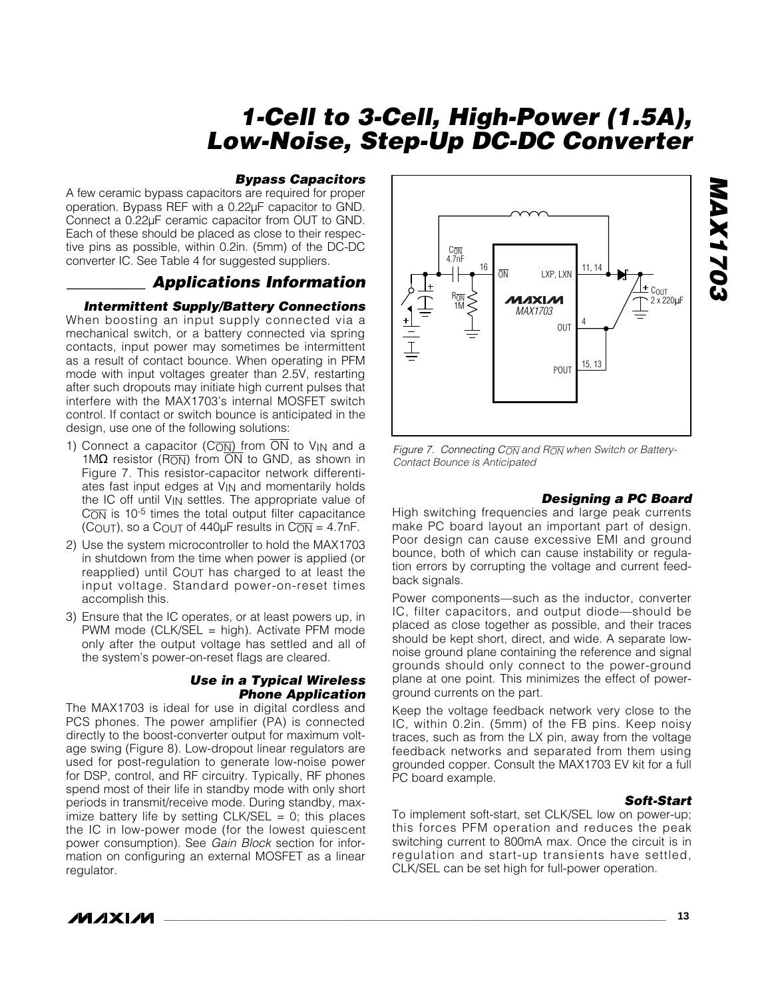#### **Bypass Capacitors**

A few ceramic bypass capacitors are required for proper operation. Bypass REF with a 0.22µF capacitor to GND. Connect a 0.22µF ceramic capacitor from OUT to GND. Each of these should be placed as close to their respective pins as possible, within 0.2in. (5mm) of the DC-DC converter IC. See Table 4 for suggested suppliers.

## **\_\_\_\_\_\_\_\_\_\_ Applications Information**

#### **Intermittent Supply/Battery Connections**

When boosting an input supply connected via a mechanical switch, or a battery connected via spring contacts, input power may sometimes be intermittent as a result of contact bounce. When operating in PFM mode with input voltages greater than 2.5V, restarting after such dropouts may initiate high current pulses that interfere with the MAX1703's internal MOSFET switch control. If contact or switch bounce is anticipated in the design, use one of the following solutions:

- 1) Connect a capacitor (C<sub>ON</sub>) from  $\overline{ON}$  to V<sub>IN</sub> and a 1M $\Omega$  resistor (RON) from  $\overline{ON}$  to GND, as shown in Figure 7. This resistor-capacitor network differentiates fast input edges at V<sub>IN</sub> and momentarily holds the IC off until V<sub>IN</sub> settles. The appropriate value of  $C\overline{ON}$  is 10<sup>-5</sup> times the total output filter capacitance (COUT), so a COUT of 440 $\mu$ F results in CON = 4.7nF.
- 2) Use the system microcontroller to hold the MAX1703 in shutdown from the time when power is applied (or reapplied) until  $C_{\Omega U}T$  has charged to at least the input voltage. Standard power-on-reset times accomplish this.
- 3) Ensure that the IC operates, or at least powers up, in PWM mode (CLK/SEL = high). Activate PFM mode only after the output voltage has settled and all of the system's power-on-reset flags are cleared.

#### **Use in a Typical Wireless Phone Application**

The MAX1703 is ideal for use in digital cordless and PCS phones. The power amplifier (PA) is connected directly to the boost-converter output for maximum voltage swing (Figure 8). Low-dropout linear regulators are used for post-regulation to generate low-noise power for DSP, control, and RF circuitry. Typically, RF phones spend most of their life in standby mode with only short periods in transmit/receive mode. During standby, maximize battery life by setting  $CLK/SEL = 0$ ; this places the IC in low-power mode (for the lowest quiescent power consumption). See Gain Block section for information on configuring an external MOSFET as a linear regulator.



Figure 7. Connecting  $C_{\overline{ON}}$  and  $R_{\overline{ON}}$  when Switch or Battery-Contact Bounce is Anticipated

#### **Designing a PC Board**

High switching frequencies and large peak currents make PC board layout an important part of design. Poor design can cause excessive EMI and ground bounce, both of which can cause instability or regulation errors by corrupting the voltage and current feedback signals.

Power components—such as the inductor, converter IC, filter capacitors, and output diode—should be placed as close together as possible, and their traces should be kept short, direct, and wide. A separate lownoise ground plane containing the reference and signal grounds should only connect to the power-ground plane at one point. This minimizes the effect of powerground currents on the part.

Keep the voltage feedback network very close to the IC, within 0.2in. (5mm) of the FB pins. Keep noisy traces, such as from the LX pin, away from the voltage feedback networks and separated from them using grounded copper. Consult the MAX1703 EV kit for a full PC board example.

#### **Soft-Start**

To implement soft-start, set CLK/SEL low on power-up; this forces PFM operation and reduces the peak switching current to 800mA max. Once the circuit is in regulation and start-up transients have settled, CLK/SEL can be set high for full-power operation.

# **MAX1703 2021XVM**

**MAXIM**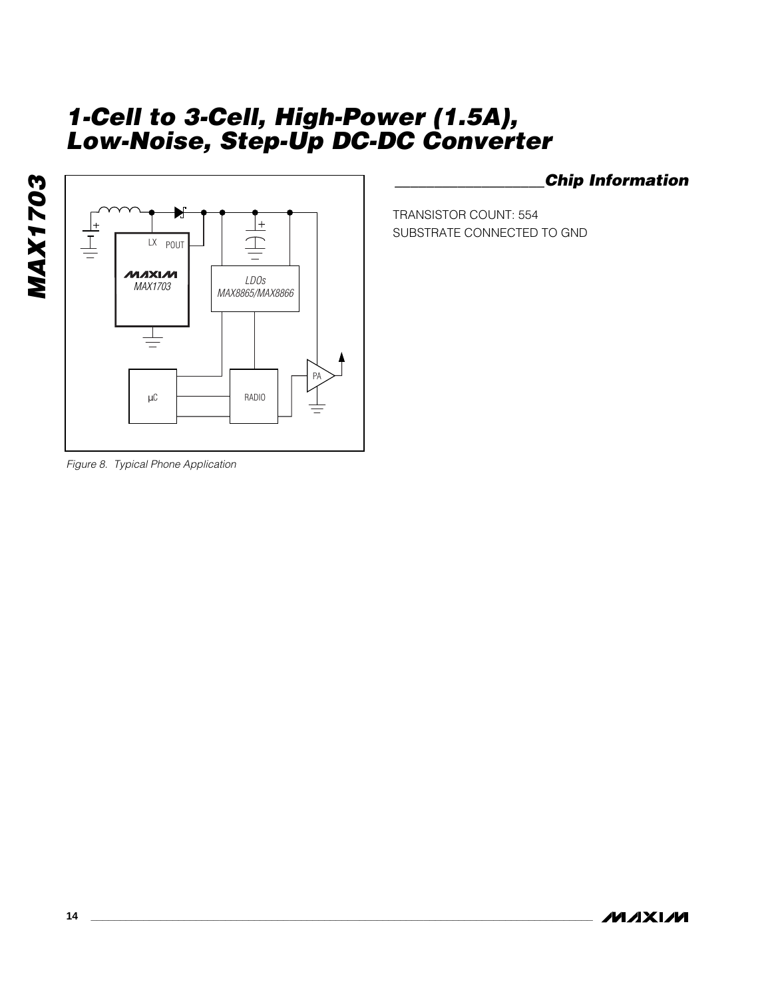



**\_\_\_\_\_\_\_\_\_\_\_\_\_\_\_\_\_\_\_Chip Information**

TRANSISTOR COUNT: 554 SUBSTRATE CONNECTED TO GND

Figure 8. Typical Phone Application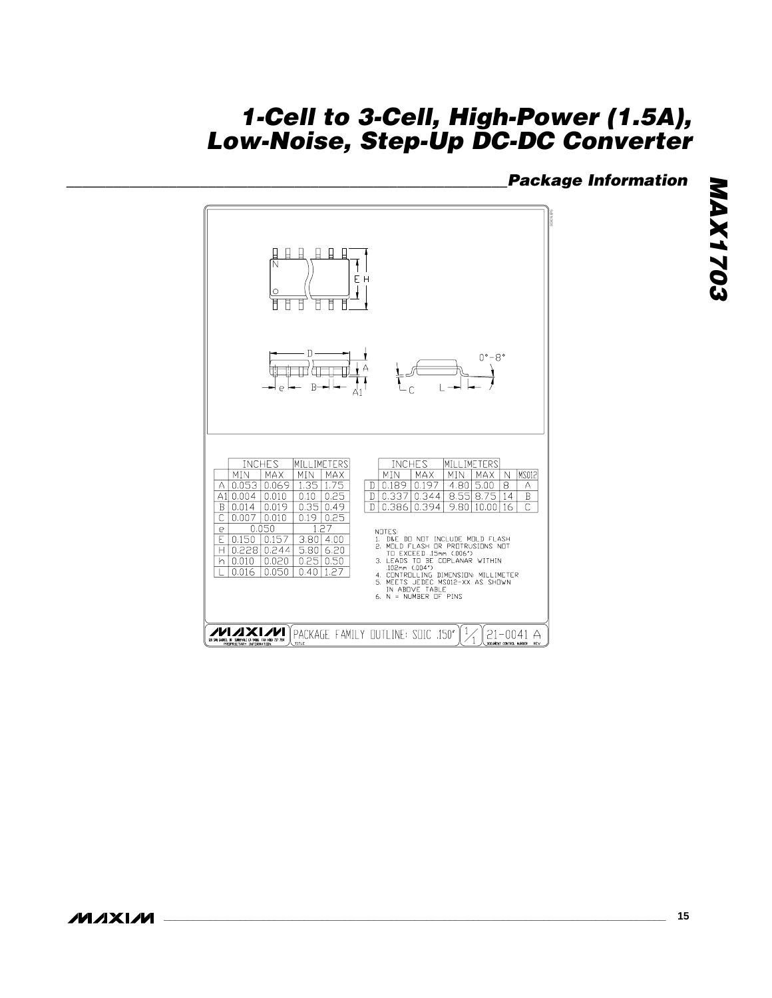# **\_\_\_\_\_\_\_\_\_\_\_\_\_\_\_\_\_\_\_\_\_\_\_\_\_\_\_\_\_\_\_\_\_\_\_\_\_\_\_\_\_\_\_\_\_\_\_\_\_\_\_\_\_\_\_\_Package Information**